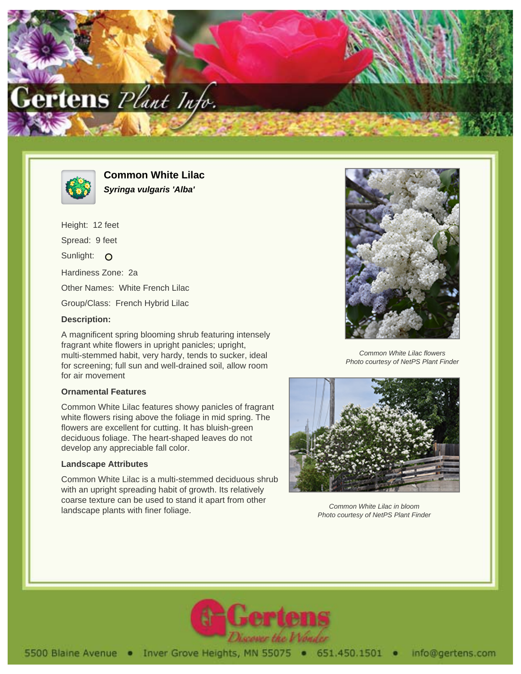



**Common White Lilac Syringa vulgaris 'Alba'**

Height: 12 feet Spread: 9 feet Sunlight: O Hardiness Zone: 2a Other Names: White French Lilac Group/Class: French Hybrid Lilac

## **Description:**

A magnificent spring blooming shrub featuring intensely fragrant white flowers in upright panicles; upright, multi-stemmed habit, very hardy, tends to sucker, ideal for screening; full sun and well-drained soil, allow room for air movement

## **Ornamental Features**

Common White Lilac features showy panicles of fragrant white flowers rising above the foliage in mid spring. The flowers are excellent for cutting. It has bluish-green deciduous foliage. The heart-shaped leaves do not develop any appreciable fall color.

## **Landscape Attributes**

Common White Lilac is a multi-stemmed deciduous shrub with an upright spreading habit of growth. Its relatively coarse texture can be used to stand it apart from other landscape plants with finer foliage.



Common White Lilac flowers Photo courtesy of NetPS Plant Finder



Common White Lilac in bloom Photo courtesy of NetPS Plant Finder